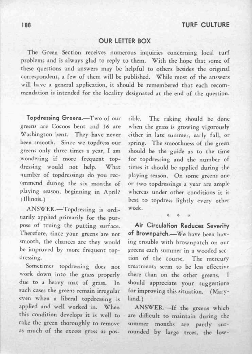## OUR LETTER BOX

The Green Section receives numerous inquiries concerning local rurf problems and is always glad to reply to them. With the hope that some of these questions and answers may be helpful to others besides the original correspondent, a few of them will be published. While most of the answers will have a general application, it should be remembered that each recommendation is intended for the locality designated at the end of the question.

Topdressing Greens.-Two of our greens are Cocoos bent and 16 are Washington bent. They have never been smooth. Since we topdress our greens only three times a year, I am wondering if more frequent topdressing would not help. What number of topdressings do you recommend during the six months of playing season, beginning in April? (Illinois.)

ANSWER.-Topdressing is ordinarily applied primarily for the purpose of truing the putting surface. Therefore, since your greens 'are not smooth, the chances are they would be improved by more frequent topdressing.

Sometimes topdressing does not work down into the grass properly due to a heavy mat of grass. In such cases the greens remain irregular even when a liberal topdressing is applied and well worked in. When this condition develops it is well to rake the green thoroughly to remove as much of the excess grass as pos-

sible. The raking should be done when the grass is growing vigorously either in late summer, early fall, or spring. The smoothness of the green should be the guide as to the time for topdressing and the number of times it should be applied during the playing season. On some greens one or two topdressings a year are ample whereas under other conditions it is best to topdress lightly every other week.

Air Circulation Reduces Severity of Brownpatch.-We have been having trouble with brownpatch on our greens each summer in a wooded section of the course. The mercury treatments seem to be less effective there than on the other greens. <sup>T</sup> should appreciate your suggestions for improving this situation. (Maryland.)

ANSWER.-If the greens which are difficult to maintain during the summer months are partly surrounded by large trees, the low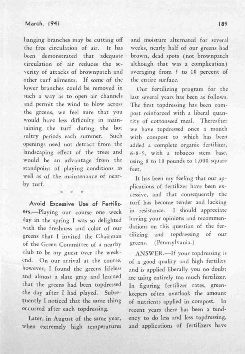hanging branches may be cutting off the free circulation of air. It has been demonstrated that adequate circulation of air reduces the severity of attacks of brownpatch and other turf ailments. If some of the lower branches could be removed in such a way as to open air channels and permit the wind to blow across the greens, we feel sure that you would have less difficulty in maintaining the turf during the hot sultry periods each summer. Such openings need not detract from the landscaping effect of the trees and would be an advantage from the standpoint of playing conditions as well as of the maintenance of nearby turf.

Avoid Excessive Use of Fertilizers.--Playing our course one week day in the spring I was so delighted with the freshness and color of our greens that I invited the Chairman of the Green Committee of a nearby club to be my guest over the weekend. On our arrival at the course. however, I found the greens lifeless and almost a slate gray and learned that the greens had been topdressed the day after I had played. Subsequently I noticed that the same thing occurred after each topdressing.

Later, in August of the same year, when extremely high temperatures

and moisture alternated for several weeks, nearly half of our greens had brown, dead spots (not brownpatch although that was a complication) averaging from 5 to 10 percent of the entire surface.

Our fertilizing program for the last several years has been as follows. The first topdressing has been compost reinforced with a liberal quantity of cottonseed meal. Thereafter we have topdressed once a month with compost to which has been added a complete organic fertilizer, 6-8-5, with a tobacco stem base, using 8 to 10 pounds to 1,000 square feet.

It has been my feeling that our applications of fertilizer have been excessive, and that consequently the turf has become tender and lacking in resistance. I should appreciate having your opinions and recommendations on this question of the fertilizing and topdressing of our greens. (Pennsylvania.)

ANSWER.-If your topdressing is of a good quality and high fertility and is applied liberally you no doubt are using entirely too much fertilizer. In figuring fertilizer rates, greenkeepers often overlook the amount of nutrients applied in compost. In recent years there has been a tendency to do less and less topdressing, and applications of fertilizers have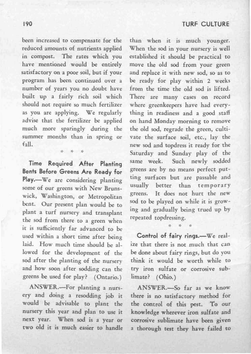been increased to compensate for the reduced amounts of nutrients applied in compost. The rates which you have mentioned would be entirely satisfactory on a poor soil, but if your program has been continued over a number of years you no doubt have built up a fairly rich soil which should not require so much fertilizer as you are applying. We regularly advise that the fertilizer be applied much more sparingly during the summer months than in spring or fall.

4 4 4

Time Required After Planting Bents Before Greens Are Ready for Play.--We are considering planting some of our greens with New Brunswick, Washington, or Metropolitan bent. Our present plan would be to plant a turf nursery and transplant the sod from there to a green when it is sufficiently far advanced to be used within a short time after being laid. How much time should be allowed for the development of the sod after the planting of the nursery and how soon after sodding can the greens be used for play? (Ontario.)

ANSWER.-For planting a nursery and doing a resodding job it would be advisable to plant the nursery this year and plan to use it next year. When sod is a year or two old it is much easier to handle than when it is much younger. When the sod in your nursery is well established it should be practical to move the old sod from your green and replace it with new sod, so as to be ready for play within 2 weeks from the time the old sod is lifted. There are many cases on record where greenkeepers have had everything in readiness and a good staff on hand Monday morning to remove the old sod, regrade the green, cultivate the surface soil, etc., lay the new sod and topdress it ready for the Saturday and Sunday play of the same week. Such newly sodded greens are by no means perfect putting surfaces but are passable and usually better than temporary greens. It does not hurt the new sod to be played on while it is growing and gradually being trued up by repeated topdressing.

Control of fairy rings.-We realize that there is not much that can be done about fairy rings, but do you think it would be worth while to try iron sulfate or corrosive sublimate? (Ohio.)

\* \* \*

ANSWER.-So far as we know there is no satisfactory method for the control of this pest. To our knowledge wherever iron sulfate and corrosive sublimate have been given a thorough test they have failed to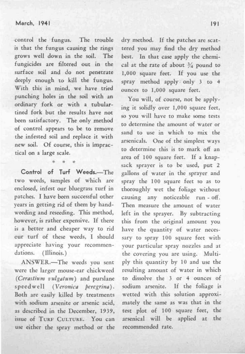## March, 1941

-control the fungus. The trouble is that the fungus causing the rings grows well down in the soil. The fungicides are filtered out in the surface soil and do not penetrate deeply enough to kill the fungus. With this in mind, we have tried punching holes in the soil with an ordinary fork or with a tubulartined fork but the results have not been satisfactory. The only method of control appears to be to remove the infested soil and replace it with new soil. Of course, this is impractical on a large scale.

Control of Turf Weeds.-The two weeds, samples of which are enclosed, infest our bluegrass turf in patches. I have been successful other years in getting rid of them by handweeding and reseeding. This method, however, is rather expensive. If there is a better and cheaper way to rid cur turf of these weeds, I should appreciate having your recommendations. (Illinois.)

\* \* \*

ANSWER.-The weeds you sent were the larger mouse-ear chickweed *(Cerastium vulgatum)* and purslane speedwell *(Veronica peregrina)*. Both are easily killed by treatments with sodium arsenite or arsenic acid, as described in the December, 1939, issue of TURF CULTURE. You can use either the spray method or the

dry method. If the patches are scattered you may find the dry method best. In that case apply the chemical at the rate of about  $\frac{3}{4}$  pound to 1,000 square feet. If you use the spray method apply; only 3 to 4 ounces to 1,000 square feet.

You will, of course, not be applying it solidly over 1,000 square feet. so you will have to make some tests to determine the amount of water or sand to use in which to mix the arsenicals. One of the simplest ways to determine this is to mark off an area of 100 square feet. If a knapsack sprayer is to be used, put 2 gallons of water in the sprayer and spray the 100 square feet so as to thoroughly wet the foliage without causing any noticeable run - off. Then measure the amount of water left in the sprayer. By subtracting this from the original amount you have the quantity of water necessary to spray 100 square feet with your particular spray nozzles and at the covering you are using. Multiply this quantity by 10 and use the resulting amount of water in which to dissolve the 3 or 4 ounces of sodium arsenite. If the foliage is wetted with this solution approximately the same as was that in the test plot of 100 square feet, the arsenical will be applied at the recommended rate.